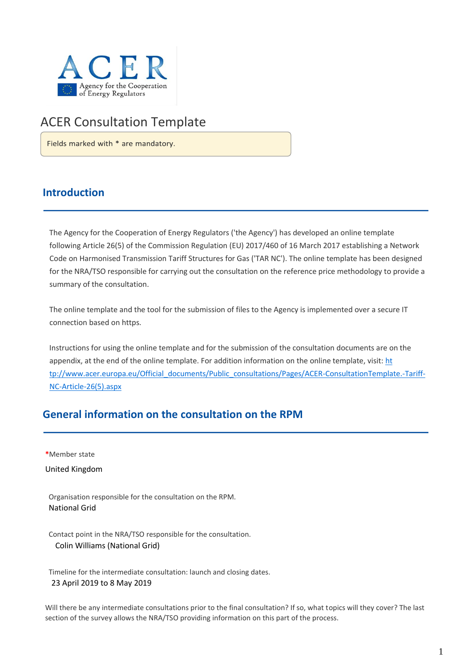

# ACER Consultation Template

Fields marked with \* are mandatory.

## **Introduction**

The Agency for the Cooperation of Energy Regulators ('the Agency') has developed an online template following Article 26(5) of the Commission Regulation (EU) 2017/460 of 16 March 2017 establishing a Network Code on Harmonised Transmission Tariff Structures for Gas ('TAR NC'). The online template has been designed for the NRA/TSO responsible for carrying out the consultation on the reference price methodology to provide a summary of the consultation.

The online template and the tool for the submission of files to the Agency is implemented over a secure IT connection based on https.

Instructions for using the online template and for the submission of the consultation documents are on the appendix, at the end of the online template. For addition information on the online template, visit: [ht](http://www.acer.europa.eu/Official_documents/Public_consultations/Pages/ACER-Consultation-Template.-Tariff-NC-Article-26(5).aspx)  [tp://www.acer.europa.eu/Official\\_documents/Public\\_consultations/Pages/ACER-ConsultationTemplate.-Tariff-](http://www.acer.europa.eu/Official_documents/Public_consultations/Pages/ACER-Consultation-Template.-Tariff-NC-Article-26(5).aspx)[NC-Article-26\(5\).aspx](http://www.acer.europa.eu/Official_documents/Public_consultations/Pages/ACER-Consultation-Template.-Tariff-NC-Article-26(5).aspx)

## **General information on the consultation on the RPM**

**\***Member state

United Kingdom

Organisation responsible for the consultation on the RPM. National Grid

Contact point in the NRA/TSO responsible for the consultation. Colin Williams (National Grid)

Timeline for the intermediate consultation: launch and closing dates. 23 April 2019 to 8 May 2019

Will there be any intermediate consultations prior to the final consultation? If so, what topics will they cover? The last section of the survey allows the NRA/TSO providing information on this part of the process.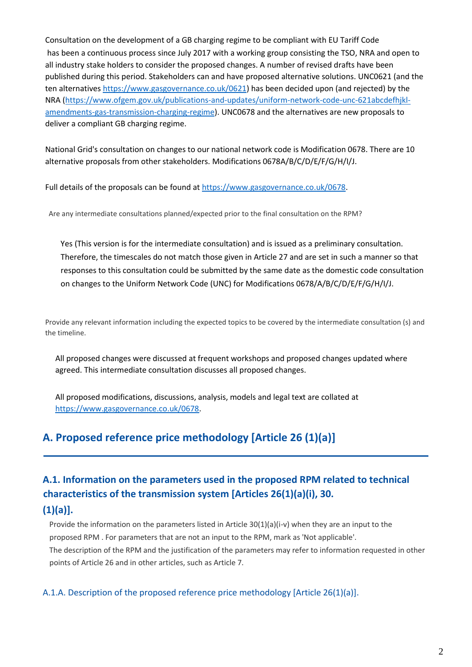Consultation on the development of a GB charging regime to be compliant with EU Tariff Code has been a continuous process since July 2017 with a working group consisting the TSO, NRA and open to all industry stake holders to consider the proposed changes. A number of revised drafts have been published during this period. Stakeholders can and have proposed alternative solutions. UNC0621 (and the ten alternative[s https://www.gasgovernance.co.uk/0621\)](https://www.gasgovernance.co.uk/0621) has been decided upon (and rejected) by the NRA [\(https://www.ofgem.gov.uk/publications-and-updates/uniform-network-code-unc-621abcdefhjkl](https://www.ofgem.gov.uk/publications-and-updates/uniform-network-code-unc-621abcdefhjkl-amendments-gas-transmission-charging-regime)[amendments-gas-transmission-charging-regime\)](https://www.ofgem.gov.uk/publications-and-updates/uniform-network-code-unc-621abcdefhjkl-amendments-gas-transmission-charging-regime). UNC0678 and the alternatives are new proposals to deliver a compliant GB charging regime.

National Grid's consultation on changes to our national network code is Modification 0678. There are 10 alternative proposals from other stakeholders. Modifications 0678A/B/C/D/E/F/G/H/I/J.

Full details of the proposals can be found at [https://www.gasgovernance.co.uk/0678.](https://www.gasgovernance.co.uk/0678)

Are any intermediate consultations planned/expected prior to the final consultation on the RPM?

Yes (This version is for the intermediate consultation) and is issued as a preliminary consultation. Therefore, the timescales do not match those given in Article 27 and are set in such a manner so that responses to this consultation could be submitted by the same date as the domestic code consultation on changes to the Uniform Network Code (UNC) for Modifications 0678/A/B/C/D/E/F/G/H/I/J.

Provide any relevant information including the expected topics to be covered by the intermediate consultation (s) and the timeline.

All proposed changes were discussed at frequent workshops and proposed changes updated where agreed. This intermediate consultation discusses all proposed changes.

All proposed modifications, discussions, analysis, models and legal text are collated at [https://www.gasgovernance.co.uk/0678.](https://www.gasgovernance.co.uk/0678)

## **A. Proposed reference price methodology [Article 26 (1)(a)]**

# **A.1. Information on the parameters used in the proposed RPM related to technical characteristics of the transmission system [Articles 26(1)(a)(i), 30.**

### **(1)(a)].**

Provide the information on the parameters listed in Article 30(1)(a)(i-v) when they are an input to the proposed RPM . For parameters that are not an input to the RPM, mark as 'Not applicable'. The description of the RPM and the justification of the parameters may refer to information requested in other points of Article 26 and in other articles, such as Article 7.

### A.1.A. Description of the proposed reference price methodology [Article 26(1)(a)].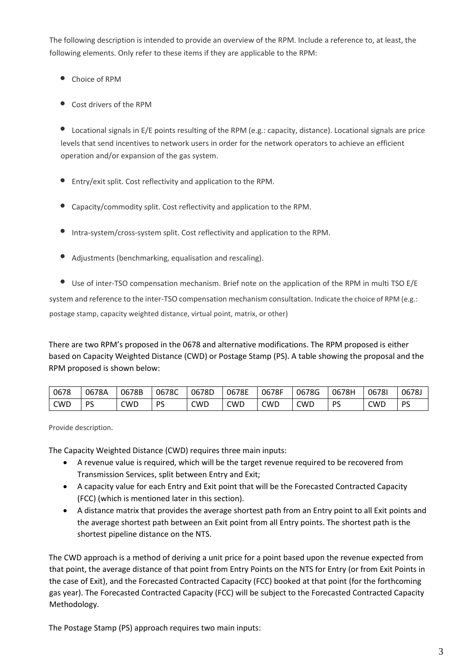The following description is intended to provide an overview of the RPM. Include a reference to, at least, the following elements. Only refer to these items if they are applicable to the RPM:

- Choice of RPM
- Cost drivers of the RPM

Locational signals in E/E points resulting of the RPM (e.g.: capacity, distance). Locational signals are price levels that send incentives to network users in order for the network operators to achieve an efficient operation and/or expansion of the gas system.

- Entry/exit split. Cost reflectivity and application to the RPM.
- Capacity/commodity split. Cost reflectivity and application to the RPM.
- Intra-system/cross-system split. Cost reflectivity and application to the RPM.
- Adjustments (benchmarking, equalisation and rescaling).
- Use of inter-TSO compensation mechanism. Brief note on the application of the RPM in multi TSO E/E

system and reference to the inter-TSO compensation mechanism consultation. Indicate the choice of RPM (e.g.:

postage stamp, capacity weighted distance, virtual point, matrix, or other)

There are two RPM's proposed in the 0678 and alternative modifications. The RPM proposed is either based on Capacity Weighted Distance (CWD) or Postage Stamp (PS). A table showing the proposal and the RPM proposed is shown below:

| 0678 | 0678A   | 0678B | 0678C | 0678D | 0678E | 0678F | 0678G | 0678H | 06781 | 0678J     |
|------|---------|-------|-------|-------|-------|-------|-------|-------|-------|-----------|
| CWD  | Pς<br>ٮ | CWD   | PS    | CWD   | CWD   | CWD   | CWD   | DС    | CWD   | DС<br>. . |

Provide description.

The Capacity Weighted Distance (CWD) requires three main inputs:

- A revenue value is required, which will be the target revenue required to be recovered from Transmission Services, split between Entry and Exit;
- A capacity value for each Entry and Exit point that will be the Forecasted Contracted Capacity (FCC) (which is mentioned later in this section).
- A distance matrix that provides the average shortest path from an Entry point to all Exit points and the average shortest path between an Exit point from all Entry points. The shortest path is the shortest pipeline distance on the NTS.

The CWD approach is a method of deriving a unit price for a point based upon the revenue expected from that point, the average distance of that point from Entry Points on the NTS for Entry (or from Exit Points in the case of Exit), and the Forecasted Contracted Capacity (FCC) booked at that point (for the forthcoming gas year). The Forecasted Contracted Capacity (FCC) will be subject to the Forecasted Contracted Capacity Methodology.

The Postage Stamp (PS) approach requires two main inputs: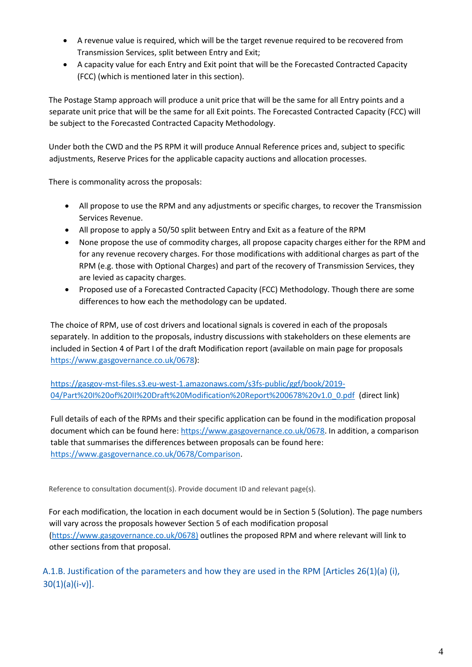- A revenue value is required, which will be the target revenue required to be recovered from Transmission Services, split between Entry and Exit;
- A capacity value for each Entry and Exit point that will be the Forecasted Contracted Capacity (FCC) (which is mentioned later in this section).

The Postage Stamp approach will produce a unit price that will be the same for all Entry points and a separate unit price that will be the same for all Exit points. The Forecasted Contracted Capacity (FCC) will be subject to the Forecasted Contracted Capacity Methodology.

Under both the CWD and the PS RPM it will produce Annual Reference prices and, subject to specific adjustments, Reserve Prices for the applicable capacity auctions and allocation processes.

There is commonality across the proposals:

- All propose to use the RPM and any adjustments or specific charges, to recover the Transmission Services Revenue.
- All propose to apply a 50/50 split between Entry and Exit as a feature of the RPM
- None propose the use of commodity charges, all propose capacity charges either for the RPM and for any revenue recovery charges. For those modifications with additional charges as part of the RPM (e.g. those with Optional Charges) and part of the recovery of Transmission Services, they are levied as capacity charges.
- Proposed use of a Forecasted Contracted Capacity (FCC) Methodology. Though there are some differences to how each the methodology can be updated.

The choice of RPM, use of cost drivers and locational signals is covered in each of the proposals separately. In addition to the proposals, industry discussions with stakeholders on these elements are included in Section 4 of Part I of the draft Modification report (available on main page for proposals [https://www.gasgovernance.co.uk/0678\)](https://www.gasgovernance.co.uk/0678):

[https://gasgov-mst-files.s3.eu-west-1.amazonaws.com/s3fs-public/ggf/book/2019-](https://gasgov-mst-files.s3.eu-west-1.amazonaws.com/s3fs-public/ggf/book/2019-04/Part%20I%20of%20II%20Draft%20Modification%20Report%200678%20v1.0_0.pdf) [04/Part%20I%20of%20II%20Draft%20Modification%20Report%200678%20v1.0\\_0.pdf](https://gasgov-mst-files.s3.eu-west-1.amazonaws.com/s3fs-public/ggf/book/2019-04/Part%20I%20of%20II%20Draft%20Modification%20Report%200678%20v1.0_0.pdf) (direct link)

Full details of each of the RPMs and their specific application can be found in the modification proposal document which can be found here: [https://www.gasgovernance.co.uk/0678.](https://www.gasgovernance.co.uk/0678) In addition, a comparison table that summarises the differences between proposals can be found here: [https://www.gasgovernance.co.uk/0678/Comparison.](https://www.gasgovernance.co.uk/0678/Comparison)

Reference to consultation document(s). Provide document ID and relevant page(s).

For each modification, the location in each document would be in Section 5 (Solution). The page numbers will vary across the proposals however Section 5 of each modification proposal [\(https://www.gasgovernance.co.uk/0678\)](https://www.gasgovernance.co.uk/0678) outlines the proposed RPM and where relevant will link to other sections from that proposal.

A.1.B. Justification of the parameters and how they are used in the RPM [Articles 26(1)(a) (i),  $30(1)(a)(i-v)$ ].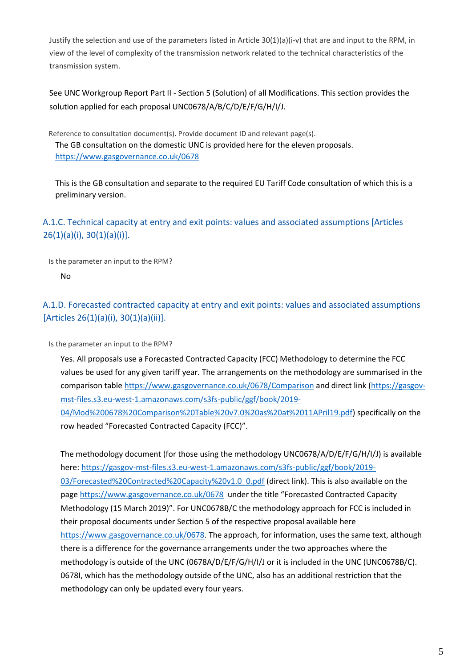Justify the selection and use of the parameters listed in Article 30(1)(a)(i-v) that are and input to the RPM, in view of the level of complexity of the transmission network related to the technical characteristics of the transmission system.

See UNC Workgroup Report Part II - Section 5 (Solution) of all Modifications. This section provides the solution applied for each proposal UNC0678/A/B/C/D/E/F/G/H/I/J.

Reference to consultation document(s). Provide document ID and relevant page(s). The GB consultation on the domestic UNC is provided here for the eleven proposals. <https://www.gasgovernance.co.uk/0678>

This is the GB consultation and separate to the required EU Tariff Code consultation of which this is a preliminary version.

## A.1.C. Technical capacity at entry and exit points: values and associated assumptions [Articles 26(1)(a)(i), 30(1)(a)(i)].

Is the parameter an input to the RPM?

No

## A.1.D. Forecasted contracted capacity at entry and exit points: values and associated assumptions [Articles 26(1)(a)(i), 30(1)(a)(ii)].

Is the parameter an input to the RPM?

Yes. All proposals use a Forecasted Contracted Capacity (FCC) Methodology to determine the FCC values be used for any given tariff year. The arrangements on the methodology are summarised in the comparison table<https://www.gasgovernance.co.uk/0678/Comparison> and direct link [\(https://gasgov](https://gasgov-mst-files.s3.eu-west-1.amazonaws.com/s3fs-public/ggf/book/2019-04/Mod%200678%20Comparison%20Table%20v7.0%20as%20at%2011APril19.pdf)[mst-files.s3.eu-west-1.amazonaws.com/s3fs-public/ggf/book/2019-](https://gasgov-mst-files.s3.eu-west-1.amazonaws.com/s3fs-public/ggf/book/2019-04/Mod%200678%20Comparison%20Table%20v7.0%20as%20at%2011APril19.pdf) [04/Mod%200678%20Comparison%20Table%20v7.0%20as%20at%2011APril19.pdf\)](https://gasgov-mst-files.s3.eu-west-1.amazonaws.com/s3fs-public/ggf/book/2019-04/Mod%200678%20Comparison%20Table%20v7.0%20as%20at%2011APril19.pdf) specifically on the

row headed "Forecasted Contracted Capacity (FCC)".

The methodology document (for those using the methodology UNC0678/A/D/E/F/G/H/I/J) is available here[: https://gasgov-mst-files.s3.eu-west-1.amazonaws.com/s3fs-public/ggf/book/2019-](https://gasgov-mst-files.s3.eu-west-1.amazonaws.com/s3fs-public/ggf/book/2019-03/Forecasted%20Contracted%20Capacity%20v1.0_0.pdf) [03/Forecasted%20Contracted%20Capacity%20v1.0\\_0.pdf](https://gasgov-mst-files.s3.eu-west-1.amazonaws.com/s3fs-public/ggf/book/2019-03/Forecasted%20Contracted%20Capacity%20v1.0_0.pdf) (direct link). This is also available on the pag[e https://www.gasgovernance.co.uk/0678](https://www.gasgovernance.co.uk/0678) under the title "Forecasted Contracted Capacity Methodology (15 March 2019)". For UNC0678B/C the methodology approach for FCC is included in their proposal documents under Section 5 of the respective proposal available here [https://www.gasgovernance.co.uk/0678.](https://www.gasgovernance.co.uk/0678) The approach, for information, uses the same text, although there is a difference for the governance arrangements under the two approaches where the methodology is outside of the UNC (0678A/D/E/F/G/H/I/J or it is included in the UNC (UNC0678B/C). 0678I, which has the methodology outside of the UNC, also has an additional restriction that the methodology can only be updated every four years.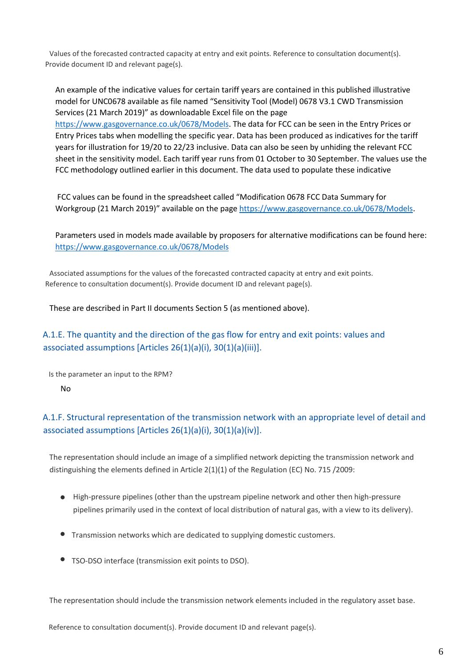Values of the forecasted contracted capacity at entry and exit points. Reference to consultation document(s). Provide document ID and relevant page(s).

An example of the indicative values for certain tariff years are contained in this published illustrative model for UNC0678 available as file named "Sensitivity Tool (Model) 0678 V3.1 CWD Transmission Services (21 March 2019)" as downloadable Excel file on the page [https://www.gasgovernance.co.uk/0678/Models.](https://www.gasgovernance.co.uk/0678/Models) The data for FCC can be seen in the Entry Prices or

Entry Prices tabs when modelling the specific year. Data has been produced as indicatives for the tariff years for illustration for 19/20 to 22/23 inclusive. Data can also be seen by unhiding the relevant FCC sheet in the sensitivity model. Each tariff year runs from 01 October to 30 September. The values use the FCC methodology outlined earlier in this document. The data used to populate these indicative

FCC values can be found in the spreadsheet called "Modification 0678 FCC Data Summary for Workgroup (21 March 2019)" available on the page [https://www.gasgovernance.co.uk/0678/Models.](https://www.gasgovernance.co.uk/0678/Models)

Parameters used in models made available by proposers for alternative modifications can be found here: <https://www.gasgovernance.co.uk/0678/Models>

Associated assumptions for the values of the forecasted contracted capacity at entry and exit points. Reference to consultation document(s). Provide document ID and relevant page(s).

These are described in Part II documents Section 5 (as mentioned above).

### A.1.E. The quantity and the direction of the gas flow for entry and exit points: values and associated assumptions [Articles 26(1)(a)(i), 30(1)(a)(iii)].

Is the parameter an input to the RPM?

No

### A.1.F. Structural representation of the transmission network with an appropriate level of detail and associated assumptions [Articles 26(1)(a)(i), 30(1)(a)(iv)].

The representation should include an image of a simplified network depicting the transmission network and distinguishing the elements defined in Article 2(1)(1) of the Regulation (EC) No. 715 /2009:

- High-pressure pipelines (other than the upstream pipeline network and other then high-pressure pipelines primarily used in the context of local distribution of natural gas, with a view to its delivery).
- Transmission networks which are dedicated to supplying domestic customers.
- TSO-DSO interface (transmission exit points to DSO).

The representation should include the transmission network elements included in the regulatory asset base.

Reference to consultation document(s). Provide document ID and relevant page(s).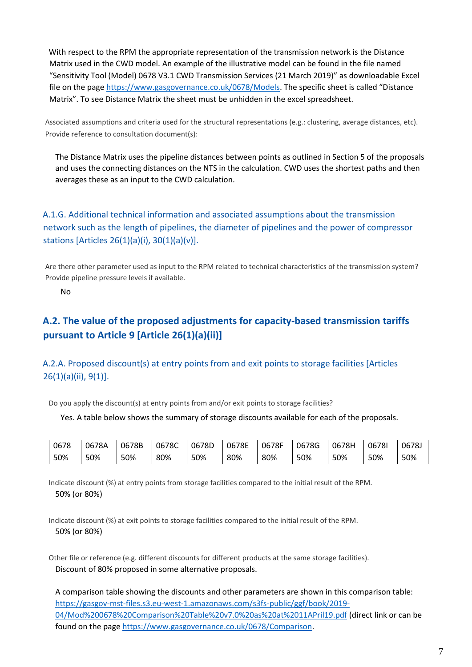With respect to the RPM the appropriate representation of the transmission network is the Distance Matrix used in the CWD model. An example of the illustrative model can be found in the file named "Sensitivity Tool (Model) 0678 V3.1 CWD Transmission Services (21 March 2019)" as downloadable Excel file on the page<https://www.gasgovernance.co.uk/0678/Models>. The specific sheet is called "Distance Matrix". To see Distance Matrix the sheet must be unhidden in the excel spreadsheet.

Associated assumptions and criteria used for the structural representations (e.g.: clustering, average distances, etc). Provide reference to consultation document(s):

The Distance Matrix uses the pipeline distances between points as outlined in Section 5 of the proposals and uses the connecting distances on the NTS in the calculation. CWD uses the shortest paths and then averages these as an input to the CWD calculation.

## A.1.G. Additional technical information and associated assumptions about the transmission network such as the length of pipelines, the diameter of pipelines and the power of compressor stations [Articles 26(1)(a)(i), 30(1)(a)(v)].

Are there other parameter used as input to the RPM related to technical characteristics of the transmission system? Provide pipeline pressure levels if available.

No

## **A.2. The value of the proposed adjustments for capacity-based transmission tariffs pursuant to Article 9 [Article 26(1)(a)(ii)]**

A.2.A. Proposed discount(s) at entry points from and exit points to storage facilities [Articles 26(1)(a)(ii), 9(1)].

Do you apply the discount(s) at entry points from and/or exit points to storage facilities?

Yes. A table below shows the summary of storage discounts available for each of the proposals.

| 0678 | 0678A | 0678B | 0678C | 0678D | 0678E | 0678F | 0678G | 0678H | 06781 | 0678J |
|------|-------|-------|-------|-------|-------|-------|-------|-------|-------|-------|
| 50%  | 50%   | 50%   | 80%   | 50%   | 80%   | 80%   | 50%   | 50%   | 50%   | 50%   |

Indicate discount (%) at entry points from storage facilities compared to the initial result of the RPM. 50% (or 80%)

Indicate discount (%) at exit points to storage facilities compared to the initial result of the RPM. 50% (or 80%)

Other file or reference (e.g. different discounts for different products at the same storage facilities). Discount of 80% proposed in some alternative proposals.

A comparison table showing the discounts and other parameters are shown in this comparison table: [https://gasgov-mst-files.s3.eu-west-1.amazonaws.com/s3fs-public/ggf/book/2019-](https://gasgov-mst-files.s3.eu-west-1.amazonaws.com/s3fs-public/ggf/book/2019-04/Mod%200678%20Comparison%20Table%20v7.0%20as%20at%2011APril19.pdf) [04/Mod%200678%20Comparison%20Table%20v7.0%20as%20at%2011APril19.pdf](https://gasgov-mst-files.s3.eu-west-1.amazonaws.com/s3fs-public/ggf/book/2019-04/Mod%200678%20Comparison%20Table%20v7.0%20as%20at%2011APril19.pdf) (direct link or can be found on the pag[e https://www.gasgovernance.co.uk/0678/Comparison.](https://www.gasgovernance.co.uk/0678/Comparison)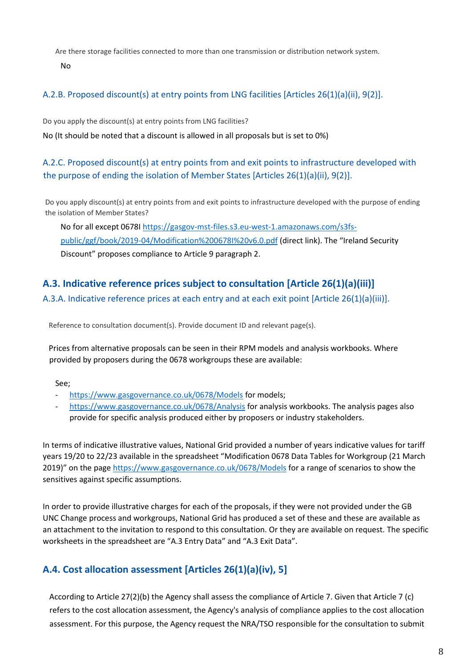Are there storage facilities connected to more than one transmission or distribution network system.

No

### A.2.B. Proposed discount(s) at entry points from LNG facilities [Articles 26(1)(a)(ii), 9(2)].

Do you apply the discount(s) at entry points from LNG facilities?

No (It should be noted that a discount is allowed in all proposals but is set to 0%)

## A.2.C. Proposed discount(s) at entry points from and exit points to infrastructure developed with the purpose of ending the isolation of Member States [Articles 26(1)(a)(ii), 9(2)].

Do you apply discount(s) at entry points from and exit points to infrastructure developed with the purpose of ending the isolation of Member States?

No for all except 0678I [https://gasgov-mst-files.s3.eu-west-1.amazonaws.com/s3fs](https://gasgov-mst-files.s3.eu-west-1.amazonaws.com/s3fs-public/ggf/book/2019-04/Modification%200678I%20v6.0.pdf)[public/ggf/book/2019-04/Modification%200678I%20v6.0.pdf](https://gasgov-mst-files.s3.eu-west-1.amazonaws.com/s3fs-public/ggf/book/2019-04/Modification%200678I%20v6.0.pdf) (direct link). The "Ireland Security Discount" proposes compliance to Article 9 paragraph 2.

## **A.3. Indicative reference prices subject to consultation [Article 26(1)(a)(iii)]**

A.3.A. Indicative reference prices at each entry and at each exit point [Article 26(1)(a)(iii)].

Reference to consultation document(s). Provide document ID and relevant page(s).

Prices from alternative proposals can be seen in their RPM models and analysis workbooks. Where provided by proposers during the 0678 workgroups these are available:

#### See;

- <https://www.gasgovernance.co.uk/0678/Models> for models;
- <https://www.gasgovernance.co.uk/0678/Analysis> for analysis workbooks. The analysis pages also provide for specific analysis produced either by proposers or industry stakeholders.

In terms of indicative illustrative values, National Grid provided a number of years indicative values for tariff years 19/20 to 22/23 available in the spreadsheet "Modification 0678 Data Tables for Workgroup (21 March 2019)" on the page <https://www.gasgovernance.co.uk/0678/Models> for a range of scenarios to show the sensitives against specific assumptions.

In order to provide illustrative charges for each of the proposals, if they were not provided under the GB UNC Change process and workgroups, National Grid has produced a set of these and these are available as an attachment to the invitation to respond to this consultation. Or they are available on request. The specific worksheets in the spreadsheet are "A.3 Entry Data" and "A.3 Exit Data".

## **A.4. Cost allocation assessment [Articles 26(1)(a)(iv), 5]**

According to Article 27(2)(b) the Agency shall assess the compliance of Article 7. Given that Article 7 (c) refers to the cost allocation assessment, the Agency's analysis of compliance applies to the cost allocation assessment. For this purpose, the Agency request the NRA/TSO responsible for the consultation to submit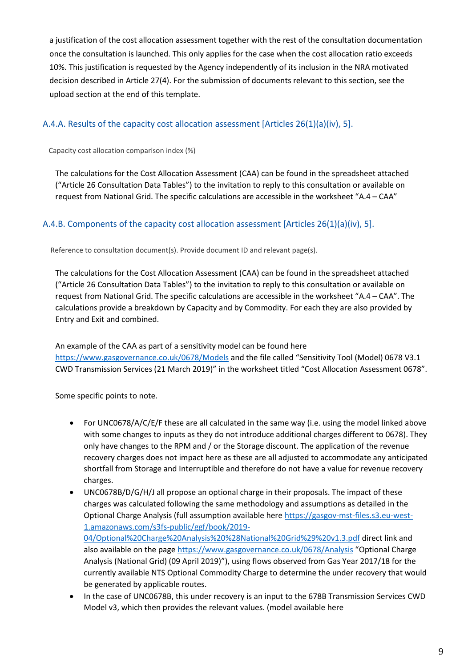a justification of the cost allocation assessment together with the rest of the consultation documentation once the consultation is launched. This only applies for the case when the cost allocation ratio exceeds 10%. This justification is requested by the Agency independently of its inclusion in the NRA motivated decision described in Article 27(4). For the submission of documents relevant to this section, see the upload section at the end of this template.

### A.4.A. Results of the capacity cost allocation assessment [Articles 26(1)(a)(iv), 5].

Capacity cost allocation comparison index (%)

The calculations for the Cost Allocation Assessment (CAA) can be found in the spreadsheet attached ("Article 26 Consultation Data Tables") to the invitation to reply to this consultation or available on request from National Grid. The specific calculations are accessible in the worksheet "A.4 – CAA"

### A.4.B. Components of the capacity cost allocation assessment [Articles 26(1)(a)(iv), 5].

Reference to consultation document(s). Provide document ID and relevant page(s).

The calculations for the Cost Allocation Assessment (CAA) can be found in the spreadsheet attached ("Article 26 Consultation Data Tables") to the invitation to reply to this consultation or available on request from National Grid. The specific calculations are accessible in the worksheet "A.4 – CAA". The calculations provide a breakdown by Capacity and by Commodity. For each they are also provided by Entry and Exit and combined.

An example of the CAA as part of a sensitivity model can be found here <https://www.gasgovernance.co.uk/0678/Models> and the file called "Sensitivity Tool (Model) 0678 V3.1 CWD Transmission Services (21 March 2019)" in the worksheet titled "Cost Allocation Assessment 0678".

Some specific points to note.

- For UNC0678/A/C/E/F these are all calculated in the same way (i.e. using the model linked above with some changes to inputs as they do not introduce additional charges different to 0678). They only have changes to the RPM and / or the Storage discount. The application of the revenue recovery charges does not impact here as these are all adjusted to accommodate any anticipated shortfall from Storage and Interruptible and therefore do not have a value for revenue recovery charges.
- UNC0678B/D/G/H/J all propose an optional charge in their proposals. The impact of these charges was calculated following the same methodology and assumptions as detailed in the Optional Charge Analysis (full assumption available here [https://gasgov-mst-files.s3.eu-west-](https://gasgov-mst-files.s3.eu-west-1.amazonaws.com/s3fs-public/ggf/book/2019-04/Optional%20Charge%20Analysis%20%28National%20Grid%29%20v1.3.pdf)[1.amazonaws.com/s3fs-public/ggf/book/2019-](https://gasgov-mst-files.s3.eu-west-1.amazonaws.com/s3fs-public/ggf/book/2019-04/Optional%20Charge%20Analysis%20%28National%20Grid%29%20v1.3.pdf) [04/Optional%20Charge%20Analysis%20%28National%20Grid%29%20v1.3.pdf](https://gasgov-mst-files.s3.eu-west-1.amazonaws.com/s3fs-public/ggf/book/2019-04/Optional%20Charge%20Analysis%20%28National%20Grid%29%20v1.3.pdf) direct link and also available on the page<https://www.gasgovernance.co.uk/0678/Analysis> "Optional Charge Analysis (National Grid) (09 April 2019)"), using flows observed from Gas Year 2017/18 for the currently available NTS Optional Commodity Charge to determine the under recovery that would be generated by applicable routes.
- In the case of UNC0678B, this under recovery is an input to the 678B Transmission Services CWD Model v3, which then provides the relevant values. (model available here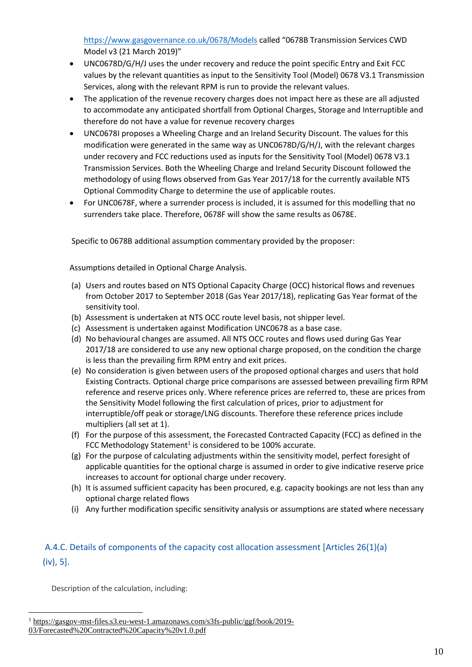<https://www.gasgovernance.co.uk/0678/Models> called "0678B Transmission Services CWD Model v3 (21 March 2019)"

- UNC0678D/G/H/J uses the under recovery and reduce the point specific Entry and Exit FCC values by the relevant quantities as input to the Sensitivity Tool (Model) 0678 V3.1 Transmission Services, along with the relevant RPM is run to provide the relevant values.
- The application of the revenue recovery charges does not impact here as these are all adjusted to accommodate any anticipated shortfall from Optional Charges, Storage and Interruptible and therefore do not have a value for revenue recovery charges
- UNC0678I proposes a Wheeling Charge and an Ireland Security Discount. The values for this modification were generated in the same way as UNC0678D/G/H/J, with the relevant charges under recovery and FCC reductions used as inputs for the Sensitivity Tool (Model) 0678 V3.1 Transmission Services. Both the Wheeling Charge and Ireland Security Discount followed the methodology of using flows observed from Gas Year 2017/18 for the currently available NTS Optional Commodity Charge to determine the use of applicable routes.
- For UNC0678F, where a surrender process is included, it is assumed for this modelling that no surrenders take place. Therefore, 0678F will show the same results as 0678E.

Specific to 0678B additional assumption commentary provided by the proposer:

Assumptions detailed in Optional Charge Analysis.

- (a) Users and routes based on NTS Optional Capacity Charge (OCC) historical flows and revenues from October 2017 to September 2018 (Gas Year 2017/18), replicating Gas Year format of the sensitivity tool.
- (b) Assessment is undertaken at NTS OCC route level basis, not shipper level.
- (c) Assessment is undertaken against Modification UNC0678 as a base case.
- (d) No behavioural changes are assumed. All NTS OCC routes and flows used during Gas Year 2017/18 are considered to use any new optional charge proposed, on the condition the charge is less than the prevailing firm RPM entry and exit prices.
- (e) No consideration is given between users of the proposed optional charges and users that hold Existing Contracts. Optional charge price comparisons are assessed between prevailing firm RPM reference and reserve prices only. Where reference prices are referred to, these are prices from the Sensitivity Model following the first calculation of prices, prior to adjustment for interruptible/off peak or storage/LNG discounts. Therefore these reference prices include multipliers (all set at 1).
- (f) For the purpose of this assessment, the Forecasted Contracted Capacity (FCC) as defined in the FCC Methodology Statement<sup>1</sup> is considered to be 100% accurate.
- (g) For the purpose of calculating adjustments within the sensitivity model, perfect foresight of applicable quantities for the optional charge is assumed in order to give indicative reserve price increases to account for optional charge under recovery.
- (h) It is assumed sufficient capacity has been procured, e.g. capacity bookings are not less than any optional charge related flows
- (i) Any further modification specific sensitivity analysis or assumptions are stated where necessary

## A.4.C. Details of components of the capacity cost allocation assessment [Articles 26(1)(a) (iv), 5].

Description of the calculation, including:

l

<sup>&</sup>lt;sup>1</sup> [https://gasgov-mst-files.s3.eu-west-1.amazonaws.com/s3fs-public/ggf/book/2019-](https://gasgov-mst-files.s3.eu-west-1.amazonaws.com/s3fs-public/ggf/book/2019-03/Forecasted%20Contracted%20Capacity%20v1.0.pdf)

[<sup>03/</sup>Forecasted%20Contracted%20Capacity%20v1.0.pdf](https://gasgov-mst-files.s3.eu-west-1.amazonaws.com/s3fs-public/ggf/book/2019-03/Forecasted%20Contracted%20Capacity%20v1.0.pdf)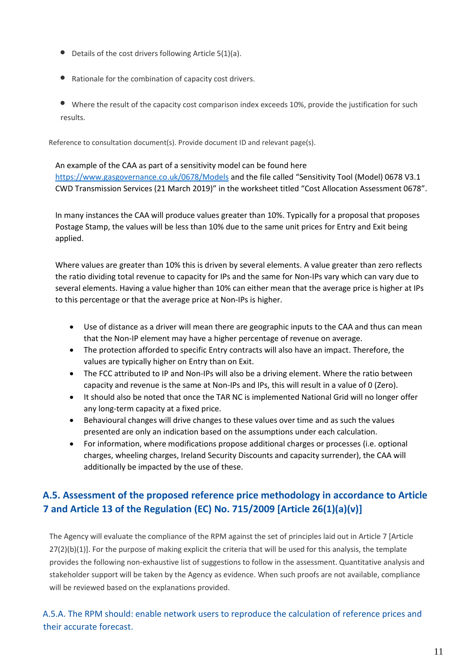- $\bullet$  Details of the cost drivers following Article 5(1)(a).
- Rationale for the combination of capacity cost drivers.
- Where the result of the capacity cost comparison index exceeds 10%, provide the justification for such results.

Reference to consultation document(s). Provide document ID and relevant page(s).

An example of the CAA as part of a sensitivity model can be found here <https://www.gasgovernance.co.uk/0678/Models> and the file called "Sensitivity Tool (Model) 0678 V3.1 CWD Transmission Services (21 March 2019)" in the worksheet titled "Cost Allocation Assessment 0678".

In many instances the CAA will produce values greater than 10%. Typically for a proposal that proposes Postage Stamp, the values will be less than 10% due to the same unit prices for Entry and Exit being applied.

Where values are greater than 10% this is driven by several elements. A value greater than zero reflects the ratio dividing total revenue to capacity for IPs and the same for Non-IPs vary which can vary due to several elements. Having a value higher than 10% can either mean that the average price is higher at IPs to this percentage or that the average price at Non-IPs is higher.

- Use of distance as a driver will mean there are geographic inputs to the CAA and thus can mean that the Non-IP element may have a higher percentage of revenue on average.
- The protection afforded to specific Entry contracts will also have an impact. Therefore, the values are typically higher on Entry than on Exit.
- The FCC attributed to IP and Non-IPs will also be a driving element. Where the ratio between capacity and revenue is the same at Non-IPs and IPs, this will result in a value of 0 (Zero).
- It should also be noted that once the TAR NC is implemented National Grid will no longer offer any long-term capacity at a fixed price.
- Behavioural changes will drive changes to these values over time and as such the values presented are only an indication based on the assumptions under each calculation.
- For information, where modifications propose additional charges or processes (i.e. optional charges, wheeling charges, Ireland Security Discounts and capacity surrender), the CAA will additionally be impacted by the use of these.

## **A.5. Assessment of the proposed reference price methodology in accordance to Article 7 and Article 13 of the Regulation (EC) No. 715/2009 [Article 26(1)(a)(v)]**

The Agency will evaluate the compliance of the RPM against the set of principles laid out in Article 7 [Article 27(2)(b)(1)]. For the purpose of making explicit the criteria that will be used for this analysis, the template provides the following non-exhaustive list of suggestions to follow in the assessment. Quantitative analysis and stakeholder support will be taken by the Agency as evidence. When such proofs are not available, compliance will be reviewed based on the explanations provided.

A.5.A. The RPM should: enable network users to reproduce the calculation of reference prices and their accurate forecast.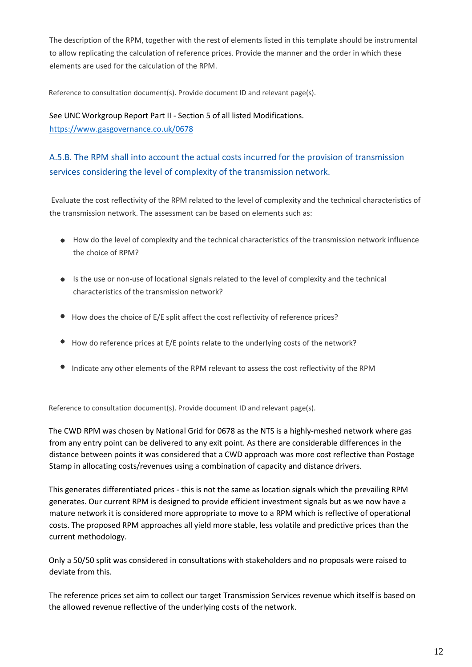The description of the RPM, together with the rest of elements listed in this template should be instrumental to allow replicating the calculation of reference prices. Provide the manner and the order in which these elements are used for the calculation of the RPM.

Reference to consultation document(s). Provide document ID and relevant page(s).

### See UNC Workgroup Report Part II - Section 5 of all listed Modifications. <https://www.gasgovernance.co.uk/0678>

## A.5.B. The RPM shall into account the actual costs incurred for the provision of transmission services considering the level of complexity of the transmission network.

Evaluate the cost reflectivity of the RPM related to the level of complexity and the technical characteristics of the transmission network. The assessment can be based on elements such as:

- How do the level of complexity and the technical characteristics of the transmission network influence the choice of RPM?
- Is the use or non-use of locational signals related to the level of complexity and the technical characteristics of the transmission network?
- How does the choice of E/E split affect the cost reflectivity of reference prices?
- $\bullet$  How do reference prices at E/E points relate to the underlying costs of the network?
- Indicate any other elements of the RPM relevant to assess the cost reflectivity of the RPM

Reference to consultation document(s). Provide document ID and relevant page(s).

The CWD RPM was chosen by National Grid for 0678 as the NTS is a highly-meshed network where gas from any entry point can be delivered to any exit point. As there are considerable differences in the distance between points it was considered that a CWD approach was more cost reflective than Postage Stamp in allocating costs/revenues using a combination of capacity and distance drivers.

This generates differentiated prices - this is not the same as location signals which the prevailing RPM generates. Our current RPM is designed to provide efficient investment signals but as we now have a mature network it is considered more appropriate to move to a RPM which is reflective of operational costs. The proposed RPM approaches all yield more stable, less volatile and predictive prices than the current methodology.

Only a 50/50 split was considered in consultations with stakeholders and no proposals were raised to deviate from this.

The reference prices set aim to collect our target Transmission Services revenue which itself is based on the allowed revenue reflective of the underlying costs of the network.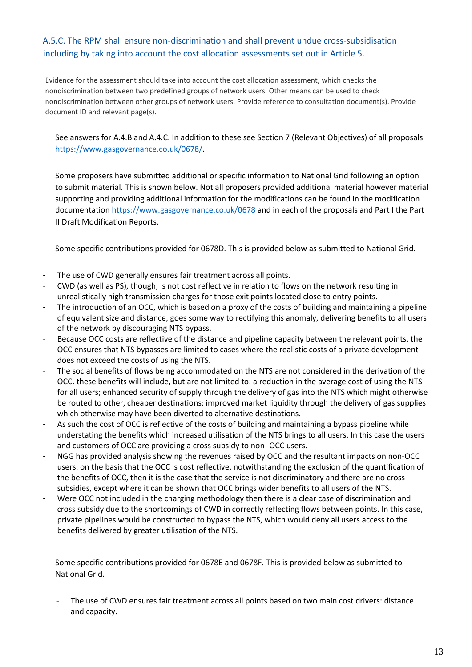### A.5.C. The RPM shall ensure non-discrimination and shall prevent undue cross-subsidisation including by taking into account the cost allocation assessments set out in Article 5.

Evidence for the assessment should take into account the cost allocation assessment, which checks the nondiscrimination between two predefined groups of network users. Other means can be used to check nondiscrimination between other groups of network users. Provide reference to consultation document(s). Provide document ID and relevant page(s).

See answers for A.4.B and A.4.C. In addition to these see Section 7 (Relevant Objectives) of all proposals [https://www.gasgovernance.co.uk/0678/.](https://www.gasgovernance.co.uk/0678/)

Some proposers have submitted additional or specific information to National Grid following an option to submit material. This is shown below. Not all proposers provided additional material however material supporting and providing additional information for the modifications can be found in the modification documentation<https://www.gasgovernance.co.uk/0678> and in each of the proposals and Part I the Part II Draft Modification Reports.

Some specific contributions provided for 0678D. This is provided below as submitted to National Grid.

- The use of CWD generally ensures fair treatment across all points.
- CWD (as well as PS), though, is not cost reflective in relation to flows on the network resulting in unrealistically high transmission charges for those exit points located close to entry points.
- The introduction of an OCC, which is based on a proxy of the costs of building and maintaining a pipeline of equivalent size and distance, goes some way to rectifying this anomaly, delivering benefits to all users of the network by discouraging NTS bypass.
- Because OCC costs are reflective of the distance and pipeline capacity between the relevant points, the OCC ensures that NTS bypasses are limited to cases where the realistic costs of a private development does not exceed the costs of using the NTS.
- The social benefits of flows being accommodated on the NTS are not considered in the derivation of the OCC. these benefits will include, but are not limited to: a reduction in the average cost of using the NTS for all users; enhanced security of supply through the delivery of gas into the NTS which might otherwise be routed to other, cheaper destinations; improved market liquidity through the delivery of gas supplies which otherwise may have been diverted to alternative destinations.
- As such the cost of OCC is reflective of the costs of building and maintaining a bypass pipeline while understating the benefits which increased utilisation of the NTS brings to all users. In this case the users and customers of OCC are providing a cross subsidy to non- OCC users.
- NGG has provided analysis showing the revenues raised by OCC and the resultant impacts on non-OCC users. on the basis that the OCC is cost reflective, notwithstanding the exclusion of the quantification of the benefits of OCC, then it is the case that the service is not discriminatory and there are no cross subsidies, except where it can be shown that OCC brings wider benefits to all users of the NTS.
- Were OCC not included in the charging methodology then there is a clear case of discrimination and cross subsidy due to the shortcomings of CWD in correctly reflecting flows between points. In this case, private pipelines would be constructed to bypass the NTS, which would deny all users access to the benefits delivered by greater utilisation of the NTS.

Some specific contributions provided for 0678E and 0678F. This is provided below as submitted to National Grid.

The use of CWD ensures fair treatment across all points based on two main cost drivers: distance and capacity.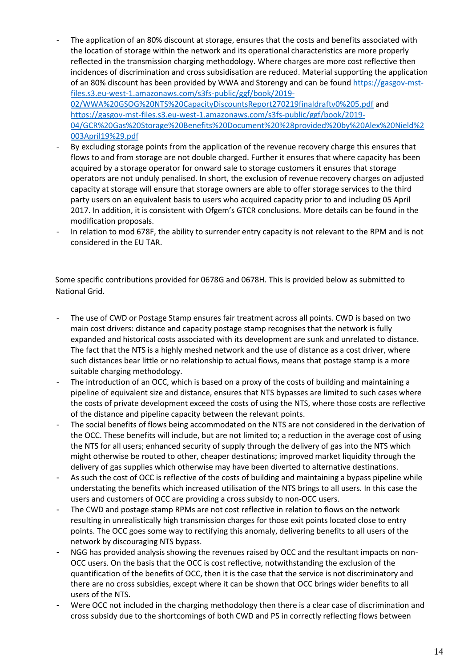The application of an 80% discount at storage, ensures that the costs and benefits associated with the location of storage within the network and its operational characteristics are more properly reflected in the transmission charging methodology. Where charges are more cost reflective then incidences of discrimination and cross subsidisation are reduced. Material supporting the application of an 80% discount has been provided by WWA and Storengy and can be foun[d https://gasgov-mst](https://gasgov-mst-files.s3.eu-west-1.amazonaws.com/s3fs-public/ggf/book/2019-02/WWA%20GSOG%20NTS%20CapacityDiscountsReport270219finaldraftv0%205.pdf)[files.s3.eu-west-1.amazonaws.com/s3fs-public/ggf/book/2019-](https://gasgov-mst-files.s3.eu-west-1.amazonaws.com/s3fs-public/ggf/book/2019-02/WWA%20GSOG%20NTS%20CapacityDiscountsReport270219finaldraftv0%205.pdf) [02/WWA%20GSOG%20NTS%20CapacityDiscountsReport270219finaldraftv0%205.pdf](https://gasgov-mst-files.s3.eu-west-1.amazonaws.com/s3fs-public/ggf/book/2019-02/WWA%20GSOG%20NTS%20CapacityDiscountsReport270219finaldraftv0%205.pdf) and [https://gasgov-mst-files.s3.eu-west-1.amazonaws.com/s3fs-public/ggf/book/2019-](https://gasgov-mst-files.s3.eu-west-1.amazonaws.com/s3fs-public/ggf/book/2019-04/GCR%20Gas%20Storage%20Benefits%20Document%20%28provided%20by%20Alex%20Nield%2003April19%29.pdf) [04/GCR%20Gas%20Storage%20Benefits%20Document%20%28provided%20by%20Alex%20Nield%2](https://gasgov-mst-files.s3.eu-west-1.amazonaws.com/s3fs-public/ggf/book/2019-04/GCR%20Gas%20Storage%20Benefits%20Document%20%28provided%20by%20Alex%20Nield%2003April19%29.pdf)

[003April19%29.pdf](https://gasgov-mst-files.s3.eu-west-1.amazonaws.com/s3fs-public/ggf/book/2019-04/GCR%20Gas%20Storage%20Benefits%20Document%20%28provided%20by%20Alex%20Nield%2003April19%29.pdf)

- By excluding storage points from the application of the revenue recovery charge this ensures that flows to and from storage are not double charged. Further it ensures that where capacity has been acquired by a storage operator for onward sale to storage customers it ensures that storage operators are not unduly penalised. In short, the exclusion of revenue recovery charges on adjusted capacity at storage will ensure that storage owners are able to offer storage services to the third party users on an equivalent basis to users who acquired capacity prior to and including 05 April 2017. In addition, it is consistent with Ofgem's GTCR conclusions. More details can be found in the modification proposals.
- In relation to mod 678F, the ability to surrender entry capacity is not relevant to the RPM and is not considered in the EU TAR.

Some specific contributions provided for 0678G and 0678H. This is provided below as submitted to National Grid.

- The use of CWD or Postage Stamp ensures fair treatment across all points. CWD is based on two main cost drivers: distance and capacity postage stamp recognises that the network is fully expanded and historical costs associated with its development are sunk and unrelated to distance. The fact that the NTS is a highly meshed network and the use of distance as a cost driver, where such distances bear little or no relationship to actual flows, means that postage stamp is a more suitable charging methodology.
- The introduction of an OCC, which is based on a proxy of the costs of building and maintaining a pipeline of equivalent size and distance, ensures that NTS bypasses are limited to such cases where the costs of private development exceed the costs of using the NTS, where those costs are reflective of the distance and pipeline capacity between the relevant points.
- The social benefits of flows being accommodated on the NTS are not considered in the derivation of the OCC. These benefits will include, but are not limited to; a reduction in the average cost of using the NTS for all users; enhanced security of supply through the delivery of gas into the NTS which might otherwise be routed to other, cheaper destinations; improved market liquidity through the delivery of gas supplies which otherwise may have been diverted to alternative destinations.
- As such the cost of OCC is reflective of the costs of building and maintaining a bypass pipeline while understating the benefits which increased utilisation of the NTS brings to all users. In this case the users and customers of OCC are providing a cross subsidy to non-OCC users.
- The CWD and postage stamp RPMs are not cost reflective in relation to flows on the network resulting in unrealistically high transmission charges for those exit points located close to entry points. The OCC goes some way to rectifying this anomaly, delivering benefits to all users of the network by discouraging NTS bypass.
- NGG has provided analysis showing the revenues raised by OCC and the resultant impacts on non-OCC users. On the basis that the OCC is cost reflective, notwithstanding the exclusion of the quantification of the benefits of OCC, then it is the case that the service is not discriminatory and there are no cross subsidies, except where it can be shown that OCC brings wider benefits to all users of the NTS.
- Were OCC not included in the charging methodology then there is a clear case of discrimination and cross subsidy due to the shortcomings of both CWD and PS in correctly reflecting flows between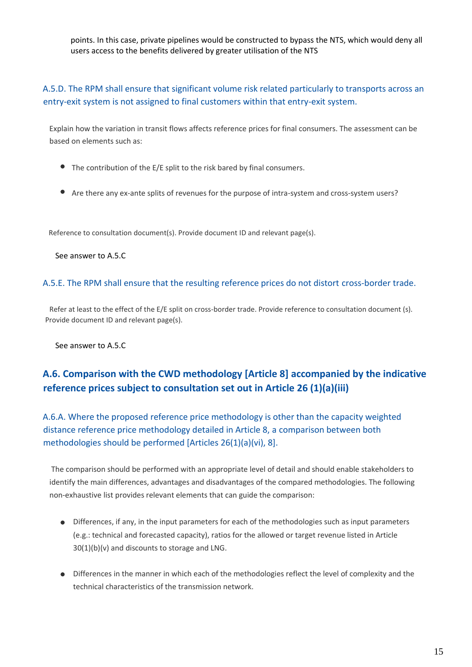points. In this case, private pipelines would be constructed to bypass the NTS, which would deny all users access to the benefits delivered by greater utilisation of the NTS

A.5.D. The RPM shall ensure that significant volume risk related particularly to transports across an entry-exit system is not assigned to final customers within that entry-exit system.

Explain how the variation in transit flows affects reference prices for final consumers. The assessment can be based on elements such as:

- The contribution of the E/E split to the risk bared by final consumers.
- Are there any ex-ante splits of revenues for the purpose of intra-system and cross-system users?

Reference to consultation document(s). Provide document ID and relevant page(s).

See answer to A.5.C

#### A.5.E. The RPM shall ensure that the resulting reference prices do not distort cross-border trade.

Refer at least to the effect of the E/E split on cross-border trade. Provide reference to consultation document (s). Provide document ID and relevant page(s).

See answer to A.5.C.

## **A.6. Comparison with the CWD methodology [Article 8] accompanied by the indicative reference prices subject to consultation set out in Article 26 (1)(a)(iii)**

A.6.A. Where the proposed reference price methodology is other than the capacity weighted distance reference price methodology detailed in Article 8, a comparison between both methodologies should be performed [Articles 26(1)(a)(vi), 8].

The comparison should be performed with an appropriate level of detail and should enable stakeholders to identify the main differences, advantages and disadvantages of the compared methodologies. The following non-exhaustive list provides relevant elements that can guide the comparison:

- Differences, if any, in the input parameters for each of the methodologies such as input parameters (e.g.: technical and forecasted capacity), ratios for the allowed or target revenue listed in Article 30(1)(b)(v) and discounts to storage and LNG.
- Differences in the manner in which each of the methodologies reflect the level of complexity and the technical characteristics of the transmission network.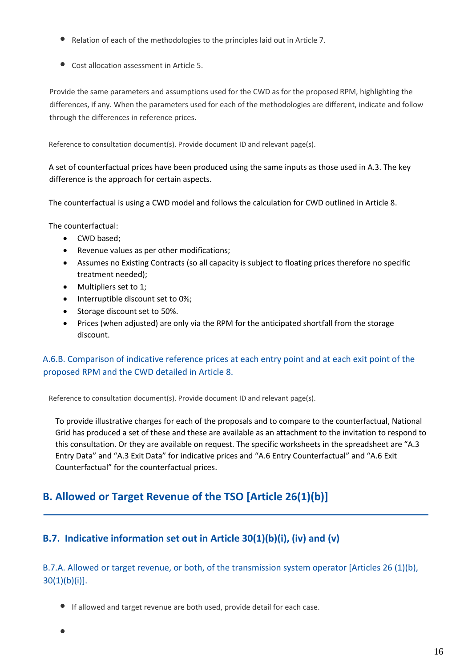- Relation of each of the methodologies to the principles laid out in Article 7.
- Cost allocation assessment in Article 5.

Provide the same parameters and assumptions used for the CWD as for the proposed RPM, highlighting the differences, if any. When the parameters used for each of the methodologies are different, indicate and follow through the differences in reference prices.

Reference to consultation document(s). Provide document ID and relevant page(s).

A set of counterfactual prices have been produced using the same inputs as those used in A.3. The key difference is the approach for certain aspects.

The counterfactual is using a CWD model and follows the calculation for CWD outlined in Article 8.

The counterfactual:

- CWD based;
- Revenue values as per other modifications;
- Assumes no Existing Contracts (so all capacity is subject to floating prices therefore no specific treatment needed);
- Multipliers set to 1;
- Interruptible discount set to 0%;
- Storage discount set to 50%.
- Prices (when adjusted) are only via the RPM for the anticipated shortfall from the storage discount.

### A.6.B. Comparison of indicative reference prices at each entry point and at each exit point of the proposed RPM and the CWD detailed in Article 8.

Reference to consultation document(s). Provide document ID and relevant page(s).

To provide illustrative charges for each of the proposals and to compare to the counterfactual, National Grid has produced a set of these and these are available as an attachment to the invitation to respond to this consultation. Or they are available on request. The specific worksheets in the spreadsheet are "A.3 Entry Data" and "A.3 Exit Data" for indicative prices and "A.6 Entry Counterfactual" and "A.6 Exit Counterfactual" for the counterfactual prices.

## **B. Allowed or Target Revenue of the TSO [Article 26(1)(b)]**

## **B.7. Indicative information set out in Article 30(1)(b)(i), (iv) and (v)**

### B.7.A. Allowed or target revenue, or both, of the transmission system operator [Articles 26 (1)(b), 30(1)(b)(i)].

- If allowed and target revenue are both used, provide detail for each case.
-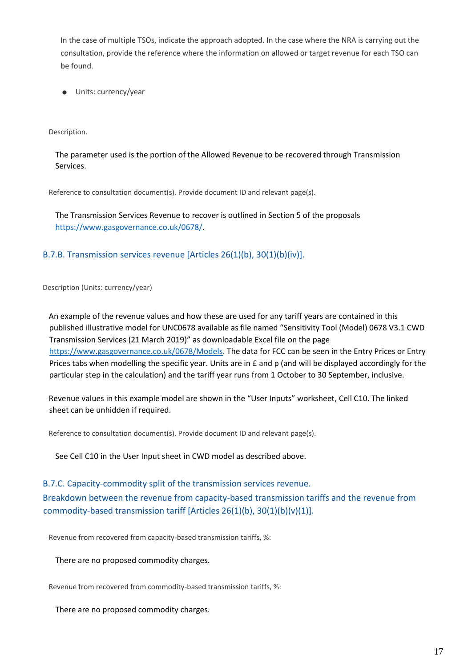In the case of multiple TSOs, indicate the approach adopted. In the case where the NRA is carrying out the consultation, provide the reference where the information on allowed or target revenue for each TSO can be found.

**Units: currency/year** 

Description.

The parameter used is the portion of the Allowed Revenue to be recovered through Transmission Services.

Reference to consultation document(s). Provide document ID and relevant page(s).

The Transmission Services Revenue to recover is outlined in Section 5 of the proposals [https://www.gasgovernance.co.uk/0678/.](https://www.gasgovernance.co.uk/0678/)

### B.7.B. Transmission services revenue [Articles 26(1)(b), 30(1)(b)(iv)].

Description (Units: currency/year)

An example of the revenue values and how these are used for any tariff years are contained in this published illustrative model for UNC0678 available as file named "Sensitivity Tool (Model) 0678 V3.1 CWD Transmission Services (21 March 2019)" as downloadable Excel file on the page [https://www.gasgovernance.co.uk/0678/Models.](https://www.gasgovernance.co.uk/0678/Models) The data for FCC can be seen in the Entry Prices or Entry Prices tabs when modelling the specific year. Units are in £ and p (and will be displayed accordingly for the particular step in the calculation) and the tariff year runs from 1 October to 30 September, inclusive.

Revenue values in this example model are shown in the "User Inputs" worksheet, Cell C10. The linked sheet can be unhidden if required.

Reference to consultation document(s). Provide document ID and relevant page(s).

See Cell C10 in the User Input sheet in CWD model as described above.

#### B.7.C. Capacity-commodity split of the transmission services revenue.

Breakdown between the revenue from capacity-based transmission tariffs and the revenue from commodity-based transmission tariff [Articles 26(1)(b), 30(1)(b)(v)(1)].

Revenue from recovered from capacity-based transmission tariffs, %:

There are no proposed commodity charges.

Revenue from recovered from commodity-based transmission tariffs, %:

There are no proposed commodity charges.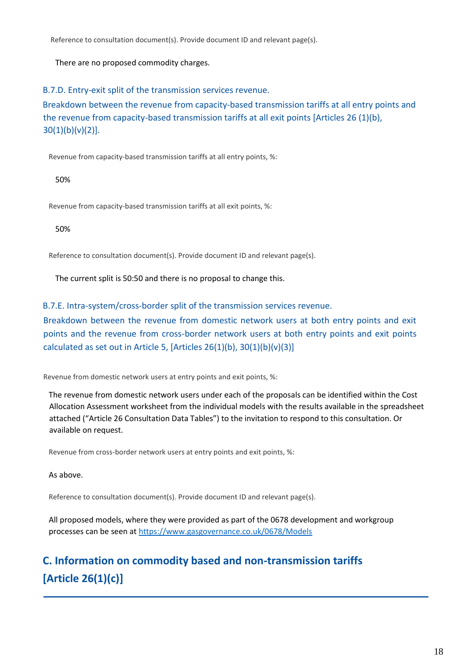Reference to consultation document(s). Provide document ID and relevant page(s).

There are no proposed commodity charges.

B.7.D. Entry-exit split of the transmission services revenue.

Breakdown between the revenue from capacity-based transmission tariffs at all entry points and the revenue from capacity-based transmission tariffs at all exit points [Articles 26 (1)(b),  $30(1)(b)(v)(2)$ ].

Revenue from capacity-based transmission tariffs at all entry points, %:

50%

Revenue from capacity-based transmission tariffs at all exit points, %:

50%

Reference to consultation document(s). Provide document ID and relevant page(s).

The current split is 50:50 and there is no proposal to change this.

B.7.E. Intra-system/cross-border split of the transmission services revenue.

Breakdown between the revenue from domestic network users at both entry points and exit points and the revenue from cross-border network users at both entry points and exit points calculated as set out in Article 5, [Articles  $26(1)(b)$ ,  $30(1)(b)(v)(3)$ ]

Revenue from domestic network users at entry points and exit points, %:

The revenue from domestic network users under each of the proposals can be identified within the Cost Allocation Assessment worksheet from the individual models with the results available in the spreadsheet attached ("Article 26 Consultation Data Tables") to the invitation to respond to this consultation. Or available on request.

Revenue from cross-border network users at entry points and exit points, %:

As above.

Reference to consultation document(s). Provide document ID and relevant page(s).

All proposed models, where they were provided as part of the 0678 development and workgroup processes can be seen at<https://www.gasgovernance.co.uk/0678/Models>

# **C. Information on commodity based and non-transmission tariffs [Article 26(1)(c)]**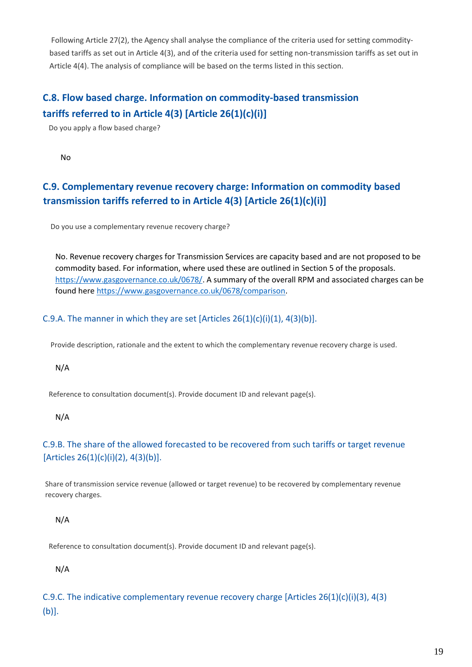Following Article 27(2), the Agency shall analyse the compliance of the criteria used for setting commoditybased tariffs as set out in Article 4(3), and of the criteria used for setting non-transmission tariffs as set out in Article 4(4). The analysis of compliance will be based on the terms listed in this section.

## **C.8. Flow based charge. Information on commodity-based transmission tariffs referred to in Article 4(3) [Article 26(1)(c)(i)]**

Do you apply a flow based charge?

No

## **C.9. Complementary revenue recovery charge: Information on commodity based transmission tariffs referred to in Article 4(3) [Article 26(1)(c)(i)]**

Do you use a complementary revenue recovery charge?

No. Revenue recovery charges for Transmission Services are capacity based and are not proposed to be commodity based. For information, where used these are outlined in Section 5 of the proposals. [https://www.gasgovernance.co.uk/0678/.](https://www.gasgovernance.co.uk/0678/) A summary of the overall RPM and associated charges can be found here [https://www.gasgovernance.co.uk/0678/comparison.](https://www.gasgovernance.co.uk/0678/comparison)

### C.9.A. The manner in which they are set  $[Articles 26(1)(c)(i)(1), 4(3)(b)].$

Provide description, rationale and the extent to which the complementary revenue recovery charge is used.

N/A

Reference to consultation document(s). Provide document ID and relevant page(s).

N/A

### C.9.B. The share of the allowed forecasted to be recovered from such tariffs or target revenue  $[Articles 26(1)(c)(i)(2), 4(3)(b)].$

Share of transmission service revenue (allowed or target revenue) to be recovered by complementary revenue recovery charges.

N/A

Reference to consultation document(s). Provide document ID and relevant page(s).

N/A

C.9.C. The indicative complementary revenue recovery charge [Articles 26(1)(c)(i)(3), 4(3) (b)].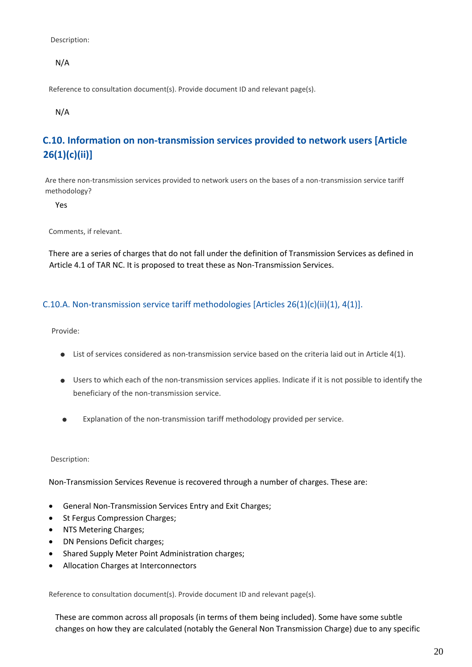Description:

N/A

Reference to consultation document(s). Provide document ID and relevant page(s).

N/A

## **C.10. Information on non-transmission services provided to network users [Article 26(1)(c)(ii)]**

Are there non-transmission services provided to network users on the bases of a non-transmission service tariff methodology?

Yes

Comments, if relevant.

There are a series of charges that do not fall under the definition of Transmission Services as defined in Article 4.1 of TAR NC. It is proposed to treat these as Non-Transmission Services.

#### C.10.A. Non-transmission service tariff methodologies [Articles 26(1)(c)(ii)(1), 4(1)].

Provide:

- List of services considered as non-transmission service based on the criteria laid out in Article 4(1).
- Users to which each of the non-transmission services applies. Indicate if it is not possible to identify the beneficiary of the non-transmission service.
- Explanation of the non-transmission tariff methodology provided per service.  $\blacksquare$

Description:

Non-Transmission Services Revenue is recovered through a number of charges. These are:

- General Non-Transmission Services Entry and Exit Charges;
- St Fergus Compression Charges;
- NTS Metering Charges;
- DN Pensions Deficit charges;
- Shared Supply Meter Point Administration charges;
- Allocation Charges at Interconnectors

Reference to consultation document(s). Provide document ID and relevant page(s).

These are common across all proposals (in terms of them being included). Some have some subtle changes on how they are calculated (notably the General Non Transmission Charge) due to any specific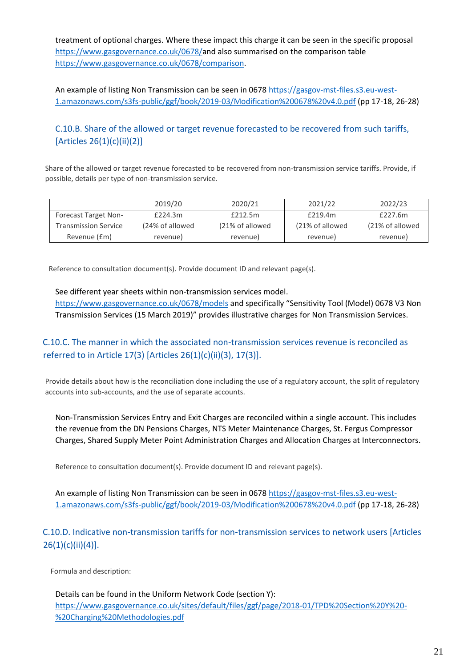treatment of optional charges. Where these impact this charge it can be seen in the specific proposal [https://www.gasgovernance.co.uk/0678/a](https://www.gasgovernance.co.uk/0678/)nd also summarised on the comparison table [https://www.gasgovernance.co.uk/0678/comparison.](https://www.gasgovernance.co.uk/0678/comparison)

An example of listing Non Transmission can be seen in 0678 [https://gasgov-mst-files.s3.eu-west-](https://gasgov-mst-files.s3.eu-west-1.amazonaws.com/s3fs-public/ggf/book/2019-03/Modification%200678%20v4.0.pdf)[1.amazonaws.com/s3fs-public/ggf/book/2019-03/Modification%200678%20v4.0.pdf](https://gasgov-mst-files.s3.eu-west-1.amazonaws.com/s3fs-public/ggf/book/2019-03/Modification%200678%20v4.0.pdf) (pp 17-18, 26-28)

### C.10.B. Share of the allowed or target revenue forecasted to be recovered from such tariffs, [Articles 26(1)(c)(ii)(2)]

Share of the allowed or target revenue forecasted to be recovered from non-transmission service tariffs. Provide, if possible, details per type of non-transmission service.

|                             | 2019/20         | 2020/21          | 2021/22          | 2022/23         |
|-----------------------------|-----------------|------------------|------------------|-----------------|
| <b>Forecast Target Non-</b> | £224.3m         | £212.5m          | £219.4m          | £227.6m         |
| <b>Transmission Service</b> | (24% of allowed | (21% of allowed) | (21% of allowed) | (21% of allowed |
| Revenue (£m)                | revenue)        | revenue)         | revenue)         | revenue)        |

Reference to consultation document(s). Provide document ID and relevant page(s).

See different year sheets within non-transmission services model. <https://www.gasgovernance.co.uk/0678/models> and specifically "Sensitivity Tool (Model) 0678 V3 Non Transmission Services (15 March 2019)" provides illustrative charges for Non Transmission Services.

## C.10.C. The manner in which the associated non-transmission services revenue is reconciled as referred to in Article 17(3) [Articles 26(1)(c)(ii)(3), 17(3)].

Provide details about how is the reconciliation done including the use of a regulatory account, the split of regulatory accounts into sub-accounts, and the use of separate accounts.

Non-Transmission Services Entry and Exit Charges are reconciled within a single account. This includes the revenue from the DN Pensions Charges, NTS Meter Maintenance Charges, St. Fergus Compressor Charges, Shared Supply Meter Point Administration Charges and Allocation Charges at Interconnectors.

Reference to consultation document(s). Provide document ID and relevant page(s).

An example of listing Non Transmission can be seen in 0678 [https://gasgov-mst-files.s3.eu-west-](https://gasgov-mst-files.s3.eu-west-1.amazonaws.com/s3fs-public/ggf/book/2019-03/Modification%200678%20v4.0.pdf)[1.amazonaws.com/s3fs-public/ggf/book/2019-03/Modification%200678%20v4.0.pdf](https://gasgov-mst-files.s3.eu-west-1.amazonaws.com/s3fs-public/ggf/book/2019-03/Modification%200678%20v4.0.pdf) (pp 17-18, 26-28)

C.10.D. Indicative non-transmission tariffs for non-transmission services to network users [Articles  $26(1)(c)(ii)(4)].$ 

Formula and description:

Details can be found in the Uniform Network Code (section Y): [https://www.gasgovernance.co.uk/sites/default/files/ggf/page/2018-01/TPD%20Section%20Y%20-](https://www.gasgovernance.co.uk/sites/default/files/ggf/page/2018-01/TPD%20Section%20Y%20-%20Charging%20Methodologies.pdf) [%20Charging%20Methodologies.pdf](https://www.gasgovernance.co.uk/sites/default/files/ggf/page/2018-01/TPD%20Section%20Y%20-%20Charging%20Methodologies.pdf)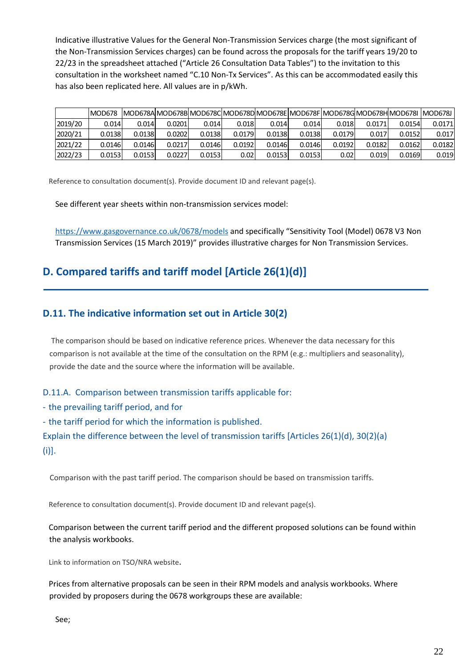Indicative illustrative Values for the General Non-Transmission Services charge (the most significant of the Non-Transmission Services charges) can be found across the proposals for the tariff years 19/20 to 22/23 in the spreadsheet attached ("Article 26 Consultation Data Tables") to the invitation to this consultation in the worksheet named "C.10 Non-Tx Services". As this can be accommodated easily this has also been replicated here. All values are in p/kWh.

|                                                                                                                                                                        | <b>MOD678</b> |        |        |        |        | MOD678A MOD678B MOD678C MOD678D MOD678E MOD678F MOD678G MOD678H MOD678I  MOD678J |        |        |        |        |        |  |
|------------------------------------------------------------------------------------------------------------------------------------------------------------------------|---------------|--------|--------|--------|--------|----------------------------------------------------------------------------------|--------|--------|--------|--------|--------|--|
| 2019/20                                                                                                                                                                | 0.014         | 0.014  | 0.0201 | 0.014  | 0.018  | 0.014                                                                            | 0.014  | 0.018  | 0.0171 | 0.0154 | 0.0171 |  |
| 2020/21                                                                                                                                                                | 0.0138        | 0.0138 | 0.0202 | 0.0138 | 0.0179 | 0.0138                                                                           | 0.0138 | 0.0179 | 0.017  | 0.0152 | 0.017  |  |
| 2021/22                                                                                                                                                                | 0.0146        | 0.0146 | 0.0217 | 0.0146 | 0.0192 | 0.0146                                                                           | 0.0146 | 0.0192 | 0.0182 | 0.0162 | 0.0182 |  |
| 2022/23                                                                                                                                                                | 0.0153        | 0.0153 | 0.0227 | 0.0153 | 0.02   | 0.0153                                                                           | 0.0153 | 0.02   | 0.019  | 0.0169 | 0.019  |  |
| eference to consultation document(s). Provide document ID and relevant page(s).<br>See different year sheets within non-transmission services model:                   |               |        |        |        |        |                                                                                  |        |        |        |        |        |  |
| https://www.gasgovernance.co.uk/0678/models and specifically "Sensitivity Tool (Model) 0678 V3 Non                                                                     |               |        |        |        |        |                                                                                  |        |        |        |        |        |  |
| Transmission Services (15 March 2019)" provides illustrative charges for Non Transmission Services.                                                                    |               |        |        |        |        |                                                                                  |        |        |        |        |        |  |
| Compared tariffs and tariff model [Article 26(1)(d)]                                                                                                                   |               |        |        |        |        |                                                                                  |        |        |        |        |        |  |
| 11. The indicative information set out in Article 30(2)                                                                                                                |               |        |        |        |        |                                                                                  |        |        |        |        |        |  |
| The comparison should be based on indicative reference prices. Whenever the data necessary for this                                                                    |               |        |        |        |        |                                                                                  |        |        |        |        |        |  |
| omparison is not available at the time of the consultation on the RPM (e.g.: multipliers and seasonality),                                                             |               |        |        |        |        |                                                                                  |        |        |        |        |        |  |
| rovide the date and the source where the information will be available.                                                                                                |               |        |        |        |        |                                                                                  |        |        |        |        |        |  |
| 11.A. Comparison between transmission tariffs applicable for:                                                                                                          |               |        |        |        |        |                                                                                  |        |        |        |        |        |  |
| he prevailing tariff period, and for                                                                                                                                   |               |        |        |        |        |                                                                                  |        |        |        |        |        |  |
| he tariff period for which the information is published.                                                                                                               |               |        |        |        |        |                                                                                  |        |        |        |        |        |  |
| plain the difference between the level of transmission tariffs [Articles 26(1)(d), 30(2)(a)                                                                            |               |        |        |        |        |                                                                                  |        |        |        |        |        |  |
|                                                                                                                                                                        |               |        |        |        |        |                                                                                  |        |        |        |        |        |  |
| Comparison with the past tariff period. The comparison should be based on transmission tariffs.                                                                        |               |        |        |        |        |                                                                                  |        |        |        |        |        |  |
| eference to consultation document(s). Provide document ID and relevant page(s).                                                                                        |               |        |        |        |        |                                                                                  |        |        |        |        |        |  |
| omparison between the current tariff period and the different proposed solutions can be found within<br>he analysis workbooks.                                         |               |        |        |        |        |                                                                                  |        |        |        |        |        |  |
| ink to information on TSO/NRA website.                                                                                                                                 |               |        |        |        |        |                                                                                  |        |        |        |        |        |  |
| rices from alternative proposals can be seen in their RPM models and analysis workbooks. Where<br>rovided by proposers during the 0678 workgroups these are available: |               |        |        |        |        |                                                                                  |        |        |        |        |        |  |
| See;                                                                                                                                                                   |               |        |        |        |        |                                                                                  |        |        |        |        |        |  |

## **D. Compared tariffs and tariff model [Article 26(1)(d)]**

### **D.11. The indicative information set out in Article 30(2)**

- the prevailing tariff period, and for

- the tariff period for which the information is published.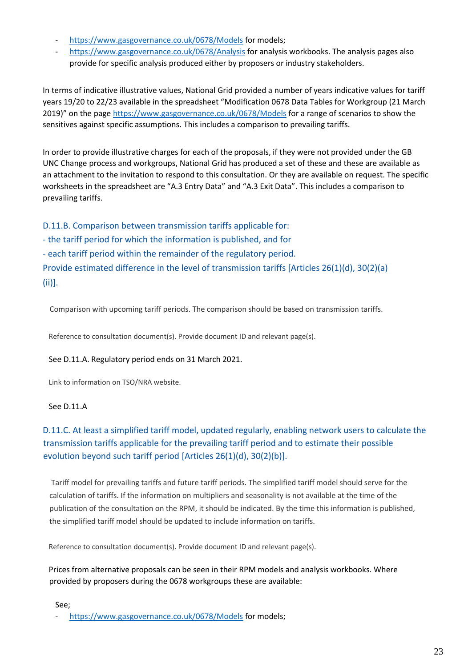- <https://www.gasgovernance.co.uk/0678/Models> for models;
- <https://www.gasgovernance.co.uk/0678/Analysis> for analysis workbooks. The analysis pages also provide for specific analysis produced either by proposers or industry stakeholders.

In terms of indicative illustrative values, National Grid provided a number of years indicative values for tariff years 19/20 to 22/23 available in the spreadsheet "Modification 0678 Data Tables for Workgroup (21 March 2019)" on the page <https://www.gasgovernance.co.uk/0678/Models> for a range of scenarios to show the sensitives against specific assumptions. This includes a comparison to prevailing tariffs.

In order to provide illustrative charges for each of the proposals, if they were not provided under the GB UNC Change process and workgroups, National Grid has produced a set of these and these are available as an attachment to the invitation to respond to this consultation. Or they are available on request. The specific worksheets in the spreadsheet are "A.3 Entry Data" and "A.3 Exit Data". This includes a comparison to prevailing tariffs.

D.11.B. Comparison between transmission tariffs applicable for: - the tariff period for which the information is published, and for - each tariff period within the remainder of the regulatory period. Provide estimated difference in the level of transmission tariffs [Articles 26(1)(d), 30(2)(a) (ii)].

Comparison with upcoming tariff periods. The comparison should be based on transmission tariffs.

Reference to consultation document(s). Provide document ID and relevant page(s).

#### See D.11.A. Regulatory period ends on 31 March 2021.

Link to information on TSO/NRA website.

#### See D.11.A

## D.11.C. At least a simplified tariff model, updated regularly, enabling network users to calculate the transmission tariffs applicable for the prevailing tariff period and to estimate their possible evolution beyond such tariff period [Articles 26(1)(d), 30(2)(b)].

Tariff model for prevailing tariffs and future tariff periods. The simplified tariff model should serve for the calculation of tariffs. If the information on multipliers and seasonality is not available at the time of the publication of the consultation on the RPM, it should be indicated. By the time this information is published, the simplified tariff model should be updated to include information on tariffs.

Reference to consultation document(s). Provide document ID and relevant page(s).

Prices from alternative proposals can be seen in their RPM models and analysis workbooks. Where provided by proposers during the 0678 workgroups these are available:

See;

<https://www.gasgovernance.co.uk/0678/Models> for models;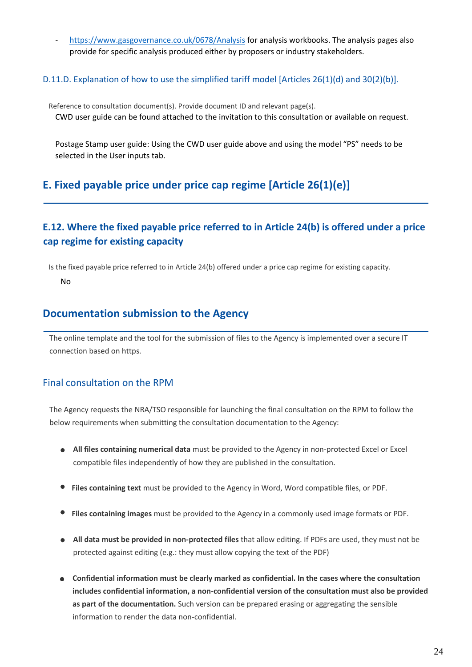<https://www.gasgovernance.co.uk/0678/Analysis> for analysis workbooks. The analysis pages also provide for specific analysis produced either by proposers or industry stakeholders.

#### D.11.D. Explanation of how to use the simplified tariff model [Articles 26(1)(d) and 30(2)(b)].

Reference to consultation document(s). Provide document ID and relevant page(s). CWD user guide can be found attached to the invitation to this consultation or available on request.

Postage Stamp user guide: Using the CWD user guide above and using the model "PS" needs to be selected in the User inputs tab.

## **E. Fixed payable price under price cap regime [Article 26(1)(e)]**

## **E.12. Where the fixed payable price referred to in Article 24(b) is offered under a price cap regime for existing capacity**

Is the fixed payable price referred to in Article 24(b) offered under a price cap regime for existing capacity.

No

## **Documentation submission to the Agency**

The online template and the tool for the submission of files to the Agency is implemented over a secure IT connection based on https.

### Final consultation on the RPM

The Agency requests the NRA/TSO responsible for launching the final consultation on the RPM to follow the below requirements when submitting the consultation documentation to the Agency:

- **All files containing numerical data** must be provided to the Agency in non-protected Excel or Excel compatible files independently of how they are published in the consultation.
- **Files containing text** must be provided to the Agency in Word, Word compatible files, or PDF.
- **Files containing images** must be provided to the Agency in a commonly used image formats or PDF.
- **All data must be provided in non-protected files** that allow editing. If PDFs are used, they must not be protected against editing (e.g.: they must allow copying the text of the PDF)
- **Confidential information must be clearly marked as confidential. In the cases where the consultation includes confidential information, a non-confidential version of the consultation must also be provided as part of the documentation.** Such version can be prepared erasing or aggregating the sensible information to render the data non-confidential.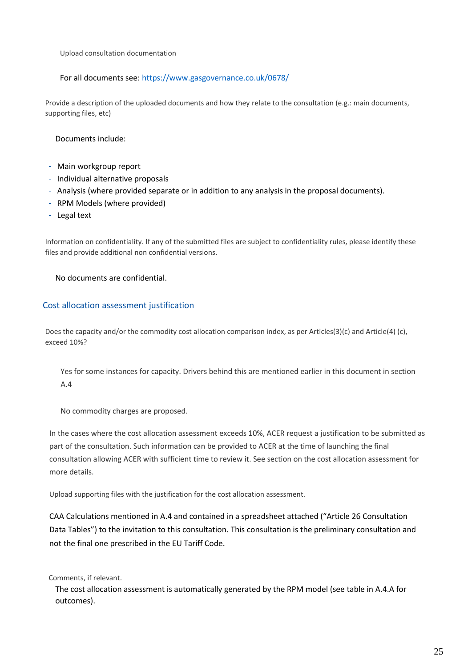Upload consultation documentation

#### For all documents see:<https://www.gasgovernance.co.uk/0678/>

Provide a description of the uploaded documents and how they relate to the consultation (e.g.: main documents, supporting files, etc)

#### Documents include:

- Main workgroup report
- Individual alternative proposals
- Analysis (where provided separate or in addition to any analysis in the proposal documents).
- RPM Models (where provided)
- Legal text

Information on confidentiality. If any of the submitted files are subject to confidentiality rules, please identify these files and provide additional non confidential versions.

#### No documents are confidential.

#### Cost allocation assessment justification

Does the capacity and/or the commodity cost allocation comparison index, as per Articles(3)(c) and Article(4) (c), exceed 10%?

Yes for some instances for capacity. Drivers behind this are mentioned earlier in this document in section A.4

No commodity charges are proposed.

In the cases where the cost allocation assessment exceeds 10%, ACER request a justification to be submitted as part of the consultation. Such information can be provided to ACER at the time of launching the final consultation allowing ACER with sufficient time to review it. See section on the cost allocation assessment for more details.

Upload supporting files with the justification for the cost allocation assessment.

CAA Calculations mentioned in A.4 and contained in a spreadsheet attached ("Article 26 Consultation Data Tables") to the invitation to this consultation. This consultation is the preliminary consultation and not the final one prescribed in the EU Tariff Code.

Comments, if relevant.

The cost allocation assessment is automatically generated by the RPM model (see table in A.4.A for outcomes).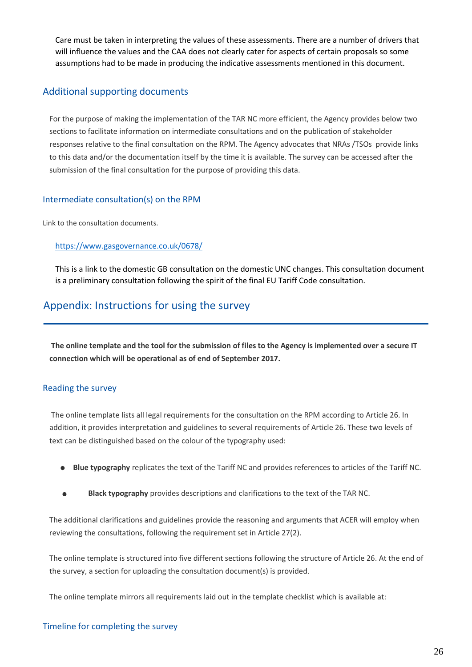Care must be taken in interpreting the values of these assessments. There are a number of drivers that will influence the values and the CAA does not clearly cater for aspects of certain proposals so some assumptions had to be made in producing the indicative assessments mentioned in this document.

### Additional supporting documents

For the purpose of making the implementation of the TAR NC more efficient, the Agency provides below two sections to facilitate information on intermediate consultations and on the publication of stakeholder responses relative to the final consultation on the RPM. The Agency advocates that NRAs /TSOs provide links to this data and/or the documentation itself by the time it is available. The survey can be accessed after the submission of the final consultation for the purpose of providing this data.

#### Intermediate consultation(s) on the RPM

Link to the consultation documents.

#### <https://www.gasgovernance.co.uk/0678/>

This is a link to the domestic GB consultation on the domestic UNC changes. This consultation document is a preliminary consultation following the spirit of the final EU Tariff Code consultation.

## Appendix: Instructions for using the survey

**The online template and the tool for the submission of files to the Agency is implemented over a secure IT connection which will be operational as of end of September 2017.**

#### Reading the survey

The online template lists all legal requirements for the consultation on the RPM according to Article 26. In addition, it provides interpretation and guidelines to several requirements of Article 26. These two levels of text can be distinguished based on the colour of the typography used:

- **Blue typography** replicates the text of the Tariff NC and provides references to articles of the Tariff NC.
- **Black typography** provides descriptions and clarifications to the text of the TAR NC.

The additional clarifications and guidelines provide the reasoning and arguments that ACER will employ when reviewing the consultations, following the requirement set in Article 27(2).

The online template is structured into five different sections following the structure of Article 26. At the end of the survey, a section for uploading the consultation document(s) is provided.

The online template mirrors all requirements laid out in the template checklist which is available at: